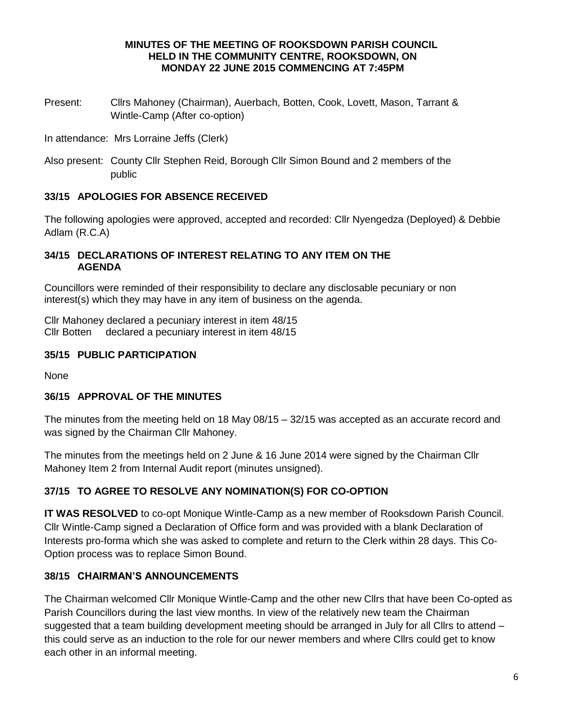#### **MINUTES OF THE MEETING OF ROOKSDOWN PARISH COUNCIL HELD IN THE COMMUNITY CENTRE, ROOKSDOWN, ON MONDAY 22 JUNE 2015 COMMENCING AT 7:45PM**

- Present: Cllrs Mahoney (Chairman), Auerbach, Botten, Cook, Lovett, Mason, Tarrant & Wintle-Camp (After co-option)
- In attendance: Mrs Lorraine Jeffs (Clerk)
- Also present: County Cllr Stephen Reid, Borough Cllr Simon Bound and 2 members of the public

## **33/15 APOLOGIES FOR ABSENCE RECEIVED**

The following apologies were approved, accepted and recorded: Cllr Nyengedza (Deployed) & Debbie Adlam (R.C.A)

### **34/15 DECLARATIONS OF INTEREST RELATING TO ANY ITEM ON THE AGENDA**

Councillors were reminded of their responsibility to declare any disclosable pecuniary or non interest(s) which they may have in any item of business on the agenda.

Cllr Mahoney declared a pecuniary interest in item 48/15 Cllr Botten declared a pecuniary interest in item 48/15

## **35/15 PUBLIC PARTICIPATION**

None

## **36/15 APPROVAL OF THE MINUTES**

The minutes from the meeting held on 18 May 08/15 – 32/15 was accepted as an accurate record and was signed by the Chairman Cllr Mahoney.

The minutes from the meetings held on 2 June & 16 June 2014 were signed by the Chairman Cllr Mahoney Item 2 from Internal Audit report (minutes unsigned).

## **37/15 TO AGREE TO RESOLVE ANY NOMINATION(S) FOR CO-OPTION**

**IT WAS RESOLVED** to co-opt Monique Wintle-Camp as a new member of Rooksdown Parish Council. Cllr Wintle-Camp signed a Declaration of Office form and was provided with a blank Declaration of Interests pro-forma which she was asked to complete and return to the Clerk within 28 days. This Co-Option process was to replace Simon Bound.

## **38/15 CHAIRMAN'S ANNOUNCEMENTS**

The Chairman welcomed Cllr Monique Wintle-Camp and the other new Cllrs that have been Co-opted as Parish Councillors during the last view months. In view of the relatively new team the Chairman suggested that a team building development meeting should be arranged in July for all Cllrs to attend – this could serve as an induction to the role for our newer members and where Cllrs could get to know each other in an informal meeting.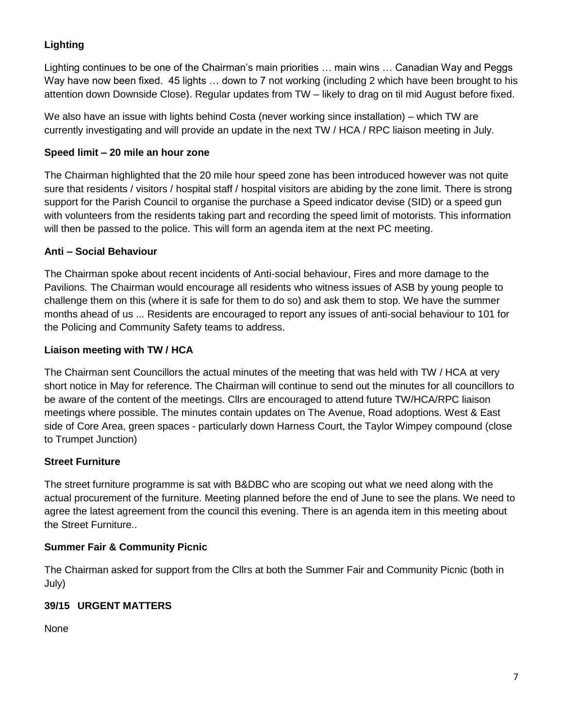## **Lighting**

Lighting continues to be one of the Chairman's main priorities … main wins … Canadian Way and Peggs Way have now been fixed. 45 lights … down to 7 not working (including 2 which have been brought to his attention down Downside Close). Regular updates from TW – likely to drag on til mid August before fixed.

We also have an issue with lights behind Costa (never working since installation) – which TW are currently investigating and will provide an update in the next TW / HCA / RPC liaison meeting in July.

## **Speed limit – 20 mile an hour zone**

The Chairman highlighted that the 20 mile hour speed zone has been introduced however was not quite sure that residents / visitors / hospital staff / hospital visitors are abiding by the zone limit. There is strong support for the Parish Council to organise the purchase a Speed indicator devise (SID) or a speed gun with volunteers from the residents taking part and recording the speed limit of motorists. This information will then be passed to the police. This will form an agenda item at the next PC meeting.

## **Anti – Social Behaviour**

The Chairman spoke about recent incidents of Anti-social behaviour, Fires and more damage to the Pavilions. The Chairman would encourage all residents who witness issues of ASB by young people to challenge them on this (where it is safe for them to do so) and ask them to stop. We have the summer months ahead of us ... Residents are encouraged to report any issues of anti-social behaviour to 101 for the Policing and Community Safety teams to address.

## **Liaison meeting with TW / HCA**

The Chairman sent Councillors the actual minutes of the meeting that was held with TW / HCA at very short notice in May for reference. The Chairman will continue to send out the minutes for all councillors to be aware of the content of the meetings. Cllrs are encouraged to attend future TW/HCA/RPC liaison meetings where possible. The minutes contain updates on The Avenue, Road adoptions. West & East side of Core Area, green spaces - particularly down Harness Court, the Taylor Wimpey compound (close to Trumpet Junction)

## **Street Furniture**

The street furniture programme is sat with B&DBC who are scoping out what we need along with the actual procurement of the furniture. Meeting planned before the end of June to see the plans. We need to agree the latest agreement from the council this evening. There is an agenda item in this meeting about the Street Furniture..

## **Summer Fair & Community Picnic**

The Chairman asked for support from the Cllrs at both the Summer Fair and Community Picnic (both in July)

## **39/15 URGENT MATTERS**

None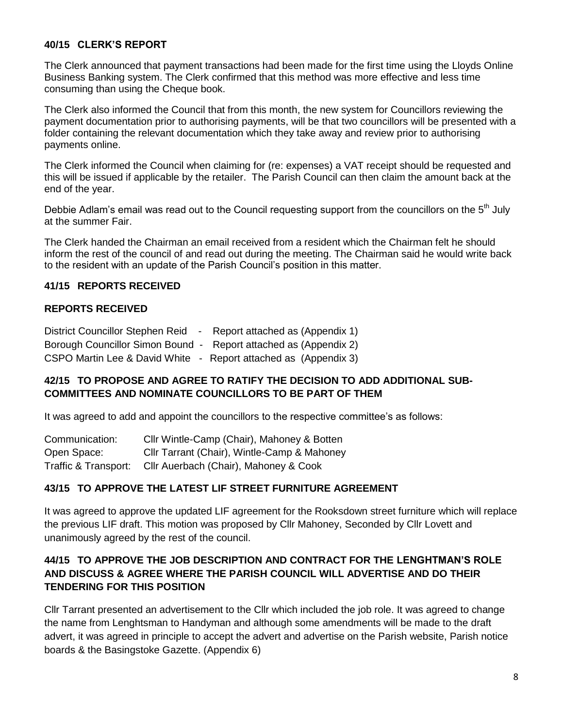### **40/15 CLERK'S REPORT**

The Clerk announced that payment transactions had been made for the first time using the Lloyds Online Business Banking system. The Clerk confirmed that this method was more effective and less time consuming than using the Cheque book.

The Clerk also informed the Council that from this month, the new system for Councillors reviewing the payment documentation prior to authorising payments, will be that two councillors will be presented with a folder containing the relevant documentation which they take away and review prior to authorising payments online.

The Clerk informed the Council when claiming for (re: expenses) a VAT receipt should be requested and this will be issued if applicable by the retailer. The Parish Council can then claim the amount back at the end of the year.

Debbie Adlam's email was read out to the Council requesting support from the councillors on the 5<sup>th</sup> July at the summer Fair.

The Clerk handed the Chairman an email received from a resident which the Chairman felt he should inform the rest of the council of and read out during the meeting. The Chairman said he would write back to the resident with an update of the Parish Council's position in this matter.

## **41/15 REPORTS RECEIVED**

### **REPORTS RECEIVED**

| District Councillor Stephen Reid - Report attached as (Appendix 1) |  |
|--------------------------------------------------------------------|--|
| Borough Councillor Simon Bound - Report attached as (Appendix 2)   |  |
| CSPO Martin Lee & David White - Report attached as (Appendix 3)    |  |

### **42/15 TO PROPOSE AND AGREE TO RATIFY THE DECISION TO ADD ADDITIONAL SUB-COMMITTEES AND NOMINATE COUNCILLORS TO BE PART OF THEM**

It was agreed to add and appoint the councillors to the respective committee's as follows:

| Communication:       | Cllr Wintle-Camp (Chair), Mahoney & Botten  |
|----------------------|---------------------------------------------|
| Open Space:          | Cllr Tarrant (Chair), Wintle-Camp & Mahoney |
| Traffic & Transport: | Cllr Auerbach (Chair), Mahoney & Cook       |

## **43/15 TO APPROVE THE LATEST LIF STREET FURNITURE AGREEMENT**

It was agreed to approve the updated LIF agreement for the Rooksdown street furniture which will replace the previous LIF draft. This motion was proposed by Cllr Mahoney, Seconded by Cllr Lovett and unanimously agreed by the rest of the council.

## **44/15 TO APPROVE THE JOB DESCRIPTION AND CONTRACT FOR THE LENGHTMAN'S ROLE AND DISCUSS & AGREE WHERE THE PARISH COUNCIL WILL ADVERTISE AND DO THEIR TENDERING FOR THIS POSITION**

Cllr Tarrant presented an advertisement to the Cllr which included the job role. It was agreed to change the name from Lenghtsman to Handyman and although some amendments will be made to the draft advert, it was agreed in principle to accept the advert and advertise on the Parish website, Parish notice boards & the Basingstoke Gazette. (Appendix 6)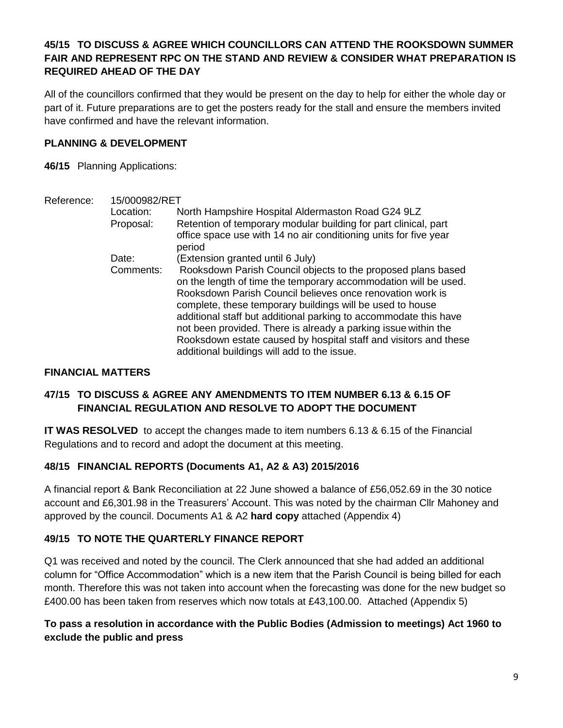## **45/15 TO DISCUSS & AGREE WHICH COUNCILLORS CAN ATTEND THE ROOKSDOWN SUMMER FAIR AND REPRESENT RPC ON THE STAND AND REVIEW & CONSIDER WHAT PREPARATION IS REQUIRED AHEAD OF THE DAY**

All of the councillors confirmed that they would be present on the day to help for either the whole day or part of it. Future preparations are to get the posters ready for the stall and ensure the members invited have confirmed and have the relevant information.

## **PLANNING & DEVELOPMENT**

**46/15** Planning Applications:

| Reference: | 15/000982/RET |                                                                                                                                                                                                                                                                                                                                                                                                                                                                                                                    |
|------------|---------------|--------------------------------------------------------------------------------------------------------------------------------------------------------------------------------------------------------------------------------------------------------------------------------------------------------------------------------------------------------------------------------------------------------------------------------------------------------------------------------------------------------------------|
|            | Location:     | North Hampshire Hospital Aldermaston Road G24 9LZ                                                                                                                                                                                                                                                                                                                                                                                                                                                                  |
|            | Proposal:     | Retention of temporary modular building for part clinical, part<br>office space use with 14 no air conditioning units for five year<br>period                                                                                                                                                                                                                                                                                                                                                                      |
|            | Date:         | (Extension granted until 6 July)                                                                                                                                                                                                                                                                                                                                                                                                                                                                                   |
|            | Comments:     | Rooksdown Parish Council objects to the proposed plans based<br>on the length of time the temporary accommodation will be used.<br>Rooksdown Parish Council believes once renovation work is<br>complete, these temporary buildings will be used to house<br>additional staff but additional parking to accommodate this have<br>not been provided. There is already a parking issue within the<br>Rooksdown estate caused by hospital staff and visitors and these<br>additional buildings will add to the issue. |

### **FINANCIAL MATTERS**

## **47/15 TO DISCUSS & AGREE ANY AMENDMENTS TO ITEM NUMBER 6.13 & 6.15 OF FINANCIAL REGULATION AND RESOLVE TO ADOPT THE DOCUMENT**

**IT WAS RESOLVED** to accept the changes made to item numbers 6.13 & 6.15 of the Financial Regulations and to record and adopt the document at this meeting.

## **48/15 FINANCIAL REPORTS (Documents A1, A2 & A3) 2015/2016**

A financial report & Bank Reconciliation at 22 June showed a balance of £56,052.69 in the 30 notice account and £6,301.98 in the Treasurers' Account. This was noted by the chairman Cllr Mahoney and approved by the council. Documents A1 & A2 **hard copy** attached (Appendix 4)

## **49/15 TO NOTE THE QUARTERLY FINANCE REPORT**

Q1 was received and noted by the council. The Clerk announced that she had added an additional column for "Office Accommodation" which is a new item that the Parish Council is being billed for each month. Therefore this was not taken into account when the forecasting was done for the new budget so £400.00 has been taken from reserves which now totals at £43,100.00. Attached (Appendix 5)

## **To pass a resolution in accordance with the Public Bodies (Admission to meetings) Act 1960 to exclude the public and press**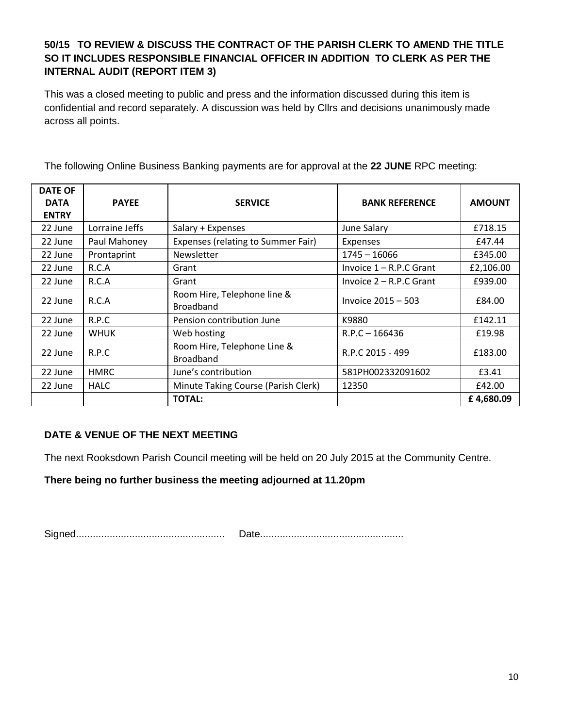## **50/15 TO REVIEW & DISCUSS THE CONTRACT OF THE PARISH CLERK TO AMEND THE TITLE SO IT INCLUDES RESPONSIBLE FINANCIAL OFFICER IN ADDITION TO CLERK AS PER THE INTERNAL AUDIT (REPORT ITEM 3)**

This was a closed meeting to public and press and the information discussed during this item is confidential and record separately. A discussion was held by Cllrs and decisions unanimously made across all points.

| <b>DATE OF</b><br><b>DATA</b><br><b>ENTRY</b> | <b>PAYEE</b>   | <b>SERVICE</b>                                  | <b>BANK REFERENCE</b>     | <b>AMOUNT</b> |
|-----------------------------------------------|----------------|-------------------------------------------------|---------------------------|---------------|
| 22 June                                       | Lorraine Jeffs | Salary + Expenses                               | June Salary               | £718.15       |
| 22 June                                       | Paul Mahoney   | Expenses (relating to Summer Fair)              | <b>Expenses</b>           | £47.44        |
| 22 June                                       | Prontaprint    | Newsletter                                      | $1745 - 16066$            | £345.00       |
| 22 June                                       | R.C.A          | Grant                                           | Invoice $1 - R.P.C$ Grant | £2,106.00     |
| 22 June                                       | R.C.A          | Grant                                           | Invoice $2 - R.P.C$ Grant | £939.00       |
| 22 June                                       | R.C.A          | Room Hire, Telephone line &<br><b>Broadband</b> | Invoice 2015 - 503        | £84.00        |
| 22 June                                       | R.P.C          | Pension contribution June                       | K9880                     | £142.11       |
| 22 June                                       | <b>WHUK</b>    | Web hosting                                     | $R.P.C - 166436$          | £19.98        |
| 22 June                                       | R.P.C          | Room Hire, Telephone Line &<br><b>Broadband</b> | R.P.C 2015 - 499          | £183.00       |
| 22 June                                       | <b>HMRC</b>    | June's contribution                             | 581PH002332091602         | £3.41         |
| 22 June                                       | <b>HALC</b>    | Minute Taking Course (Parish Clerk)             | 12350                     | £42.00        |
|                                               |                | <b>TOTAL:</b>                                   |                           | £4,680.09     |

The following Online Business Banking payments are for approval at the **22 JUNE** RPC meeting:

## **DATE & VENUE OF THE NEXT MEETING**

The next Rooksdown Parish Council meeting will be held on 20 July 2015 at the Community Centre.

**There being no further business the meeting adjourned at 11.20pm**

Signed..................................................... Date...................................................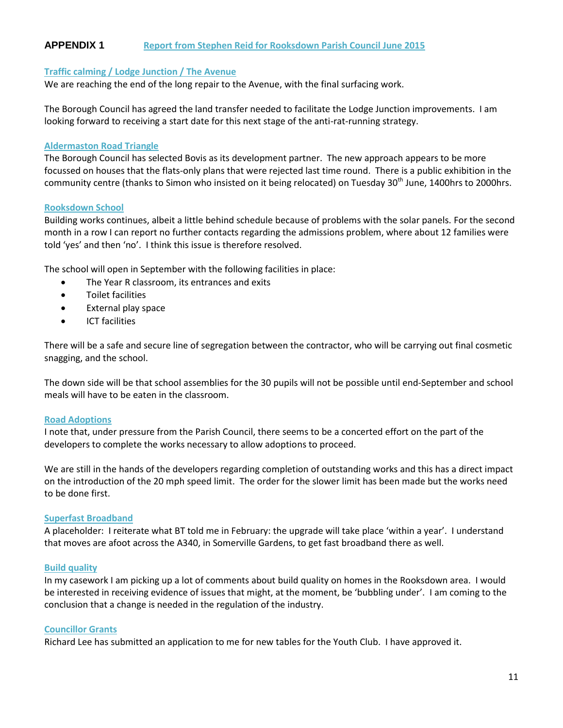## **APPENDIX 1 Report from Stephen Reid for Rooksdown Parish Council June 2015**

#### **Traffic calming / Lodge Junction / The Avenue**

We are reaching the end of the long repair to the Avenue, with the final surfacing work.

The Borough Council has agreed the land transfer needed to facilitate the Lodge Junction improvements. I am looking forward to receiving a start date for this next stage of the anti-rat-running strategy.

#### **Aldermaston Road Triangle**

The Borough Council has selected Bovis as its development partner. The new approach appears to be more focussed on houses that the flats-only plans that were rejected last time round. There is a public exhibition in the community centre (thanks to Simon who insisted on it being relocated) on Tuesday 30<sup>th</sup> June, 1400hrs to 2000hrs.

#### **Rooksdown School**

Building works continues, albeit a little behind schedule because of problems with the solar panels. For the second month in a row I can report no further contacts regarding the admissions problem, where about 12 families were told 'yes' and then 'no'. I think this issue is therefore resolved.

The school will open in September with the following facilities in place:

- The Year R classroom, its entrances and exits
- Toilet facilities
- External play space
- ICT facilities

There will be a safe and secure line of segregation between the contractor, who will be carrying out final cosmetic snagging, and the school.

The down side will be that school assemblies for the 30 pupils will not be possible until end-September and school meals will have to be eaten in the classroom.

#### **Road Adoptions**

I note that, under pressure from the Parish Council, there seems to be a concerted effort on the part of the developers to complete the works necessary to allow adoptions to proceed.

We are still in the hands of the developers regarding completion of outstanding works and this has a direct impact on the introduction of the 20 mph speed limit. The order for the slower limit has been made but the works need to be done first.

#### **Superfast Broadband**

A placeholder: I reiterate what BT told me in February: the upgrade will take place 'within a year'. I understand that moves are afoot across the A340, in Somerville Gardens, to get fast broadband there as well.

#### **Build quality**

In my casework I am picking up a lot of comments about build quality on homes in the Rooksdown area. I would be interested in receiving evidence of issues that might, at the moment, be 'bubbling under'. I am coming to the conclusion that a change is needed in the regulation of the industry.

#### **Councillor Grants**

Richard Lee has submitted an application to me for new tables for the Youth Club. I have approved it.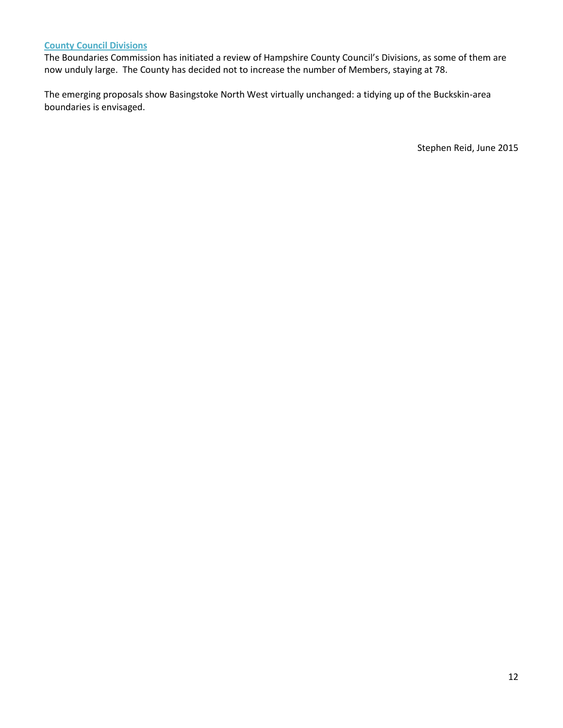### **County Council Divisions**

The Boundaries Commission has initiated a review of Hampshire County Council's Divisions, as some of them are now unduly large. The County has decided not to increase the number of Members, staying at 78.

The emerging proposals show Basingstoke North West virtually unchanged: a tidying up of the Buckskin-area boundaries is envisaged.

Stephen Reid, June 2015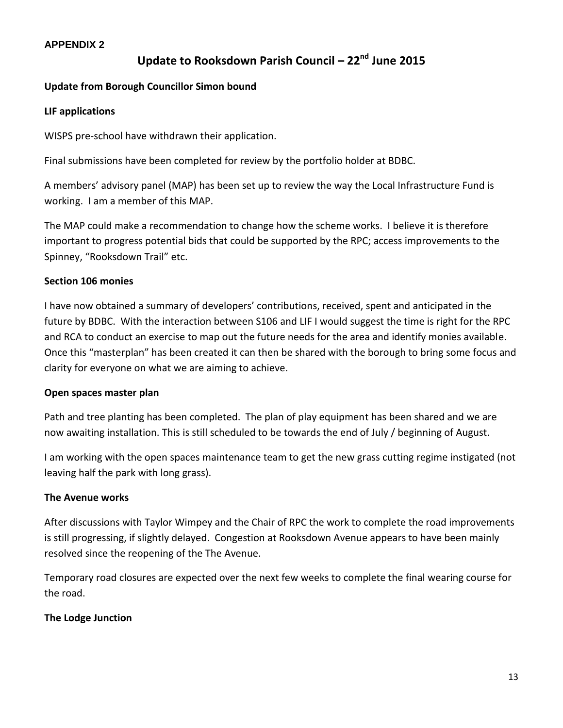### **APPENDIX 2**

# **Update to Rooksdown Parish Council – 22nd June 2015**

### **Update from Borough Councillor Simon bound**

### **LIF applications**

WISPS pre-school have withdrawn their application.

Final submissions have been completed for review by the portfolio holder at BDBC.

A members' advisory panel (MAP) has been set up to review the way the Local Infrastructure Fund is working. I am a member of this MAP.

The MAP could make a recommendation to change how the scheme works. I believe it is therefore important to progress potential bids that could be supported by the RPC; access improvements to the Spinney, "Rooksdown Trail" etc.

### **Section 106 monies**

I have now obtained a summary of developers' contributions, received, spent and anticipated in the future by BDBC. With the interaction between S106 and LIF I would suggest the time is right for the RPC and RCA to conduct an exercise to map out the future needs for the area and identify monies available. Once this "masterplan" has been created it can then be shared with the borough to bring some focus and clarity for everyone on what we are aiming to achieve.

## **Open spaces master plan**

Path and tree planting has been completed. The plan of play equipment has been shared and we are now awaiting installation. This is still scheduled to be towards the end of July / beginning of August.

I am working with the open spaces maintenance team to get the new grass cutting regime instigated (not leaving half the park with long grass).

## **The Avenue works**

After discussions with Taylor Wimpey and the Chair of RPC the work to complete the road improvements is still progressing, if slightly delayed. Congestion at Rooksdown Avenue appears to have been mainly resolved since the reopening of the The Avenue.

Temporary road closures are expected over the next few weeks to complete the final wearing course for the road.

## **The Lodge Junction**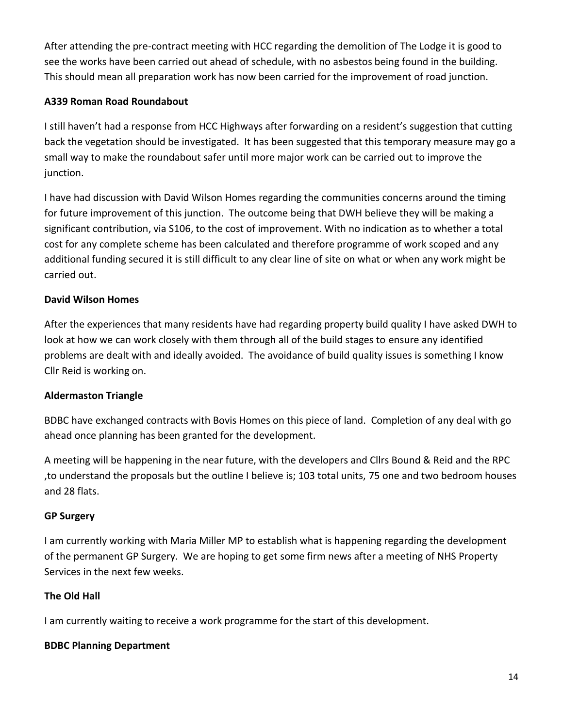After attending the pre-contract meeting with HCC regarding the demolition of The Lodge it is good to see the works have been carried out ahead of schedule, with no asbestos being found in the building. This should mean all preparation work has now been carried for the improvement of road junction.

## **A339 Roman Road Roundabout**

I still haven't had a response from HCC Highways after forwarding on a resident's suggestion that cutting back the vegetation should be investigated. It has been suggested that this temporary measure may go a small way to make the roundabout safer until more major work can be carried out to improve the junction.

I have had discussion with David Wilson Homes regarding the communities concerns around the timing for future improvement of this junction. The outcome being that DWH believe they will be making a significant contribution, via S106, to the cost of improvement. With no indication as to whether a total cost for any complete scheme has been calculated and therefore programme of work scoped and any additional funding secured it is still difficult to any clear line of site on what or when any work might be carried out.

## **David Wilson Homes**

After the experiences that many residents have had regarding property build quality I have asked DWH to look at how we can work closely with them through all of the build stages to ensure any identified problems are dealt with and ideally avoided. The avoidance of build quality issues is something I know Cllr Reid is working on.

## **Aldermaston Triangle**

BDBC have exchanged contracts with Bovis Homes on this piece of land. Completion of any deal with go ahead once planning has been granted for the development.

A meeting will be happening in the near future, with the developers and Cllrs Bound & Reid and the RPC ,to understand the proposals but the outline I believe is; 103 total units, 75 one and two bedroom houses and 28 flats.

## **GP Surgery**

I am currently working with Maria Miller MP to establish what is happening regarding the development of the permanent GP Surgery. We are hoping to get some firm news after a meeting of NHS Property Services in the next few weeks.

## **The Old Hall**

I am currently waiting to receive a work programme for the start of this development.

## **BDBC Planning Department**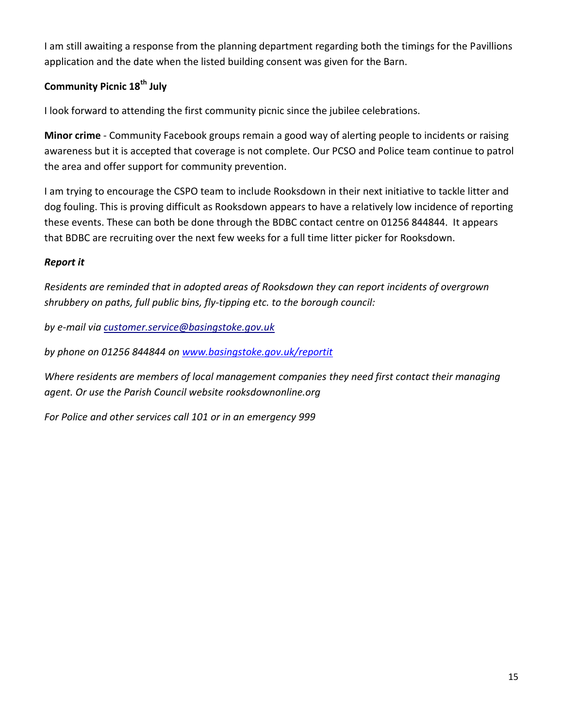I am still awaiting a response from the planning department regarding both the timings for the Pavillions application and the date when the listed building consent was given for the Barn.

## **Community Picnic 18th July**

I look forward to attending the first community picnic since the jubilee celebrations.

**Minor crime** - Community Facebook groups remain a good way of alerting people to incidents or raising awareness but it is accepted that coverage is not complete. Our PCSO and Police team continue to patrol the area and offer support for community prevention.

I am trying to encourage the CSPO team to include Rooksdown in their next initiative to tackle litter and dog fouling. This is proving difficult as Rooksdown appears to have a relatively low incidence of reporting these events. These can both be done through the BDBC contact centre on 01256 844844. It appears that BDBC are recruiting over the next few weeks for a full time litter picker for Rooksdown.

## *Report it*

*Residents are reminded that in adopted areas of Rooksdown they can report incidents of overgrown shrubbery on paths, full public bins, fly-tipping etc. to the borough council:*

*by e-mail via customer.service@basingstoke.gov.uk*

*by phone on 01256 844844 on [www.basingstoke.gov.uk/reportit](http://www.basingstoke.gov.uk/reportit)*

*Where residents are members of local management companies they need first contact their managing agent. Or use the Parish Council website rooksdownonline.org* 

*For Police and other services call 101 or in an emergency 999*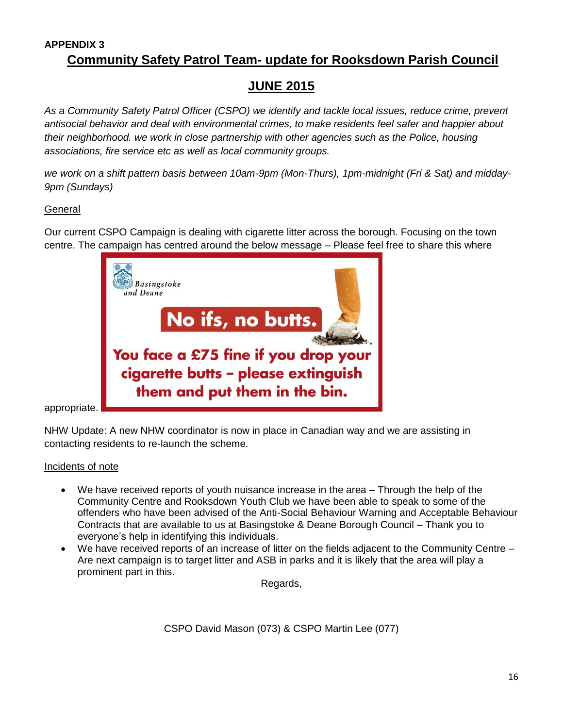## **APPENDIX 3 Community Safety Patrol Team- update for Rooksdown Parish Council**

# **JUNE 2015**

*As a Community Safety Patrol Officer (CSPO) we identify and tackle local issues, reduce crime, prevent antisocial behavior and deal with environmental crimes, to make residents feel safer and happier about their neighborhood. we work in close partnership with other agencies such as the Police, housing associations, fire service etc as well as local community groups.* 

*we work on a shift pattern basis between 10am-9pm (Mon-Thurs), 1pm-midnight (Fri & Sat) and midday-9pm (Sundays)*

## **General**

Our current CSPO Campaign is dealing with cigarette litter across the borough. Focusing on the town centre. The campaign has centred around the below message – Please feel free to share this where



appropriate.

NHW Update: A new NHW coordinator is now in place in Canadian way and we are assisting in contacting residents to re-launch the scheme.

## Incidents of note

- We have received reports of youth nuisance increase in the area Through the help of the Community Centre and Rooksdown Youth Club we have been able to speak to some of the offenders who have been advised of the Anti-Social Behaviour Warning and Acceptable Behaviour Contracts that are available to us at Basingstoke & Deane Borough Council – Thank you to everyone's help in identifying this individuals.
- We have received reports of an increase of litter on the fields adjacent to the Community Centre Are next campaign is to target litter and ASB in parks and it is likely that the area will play a prominent part in this.

Regards,

CSPO David Mason (073) & CSPO Martin Lee (077)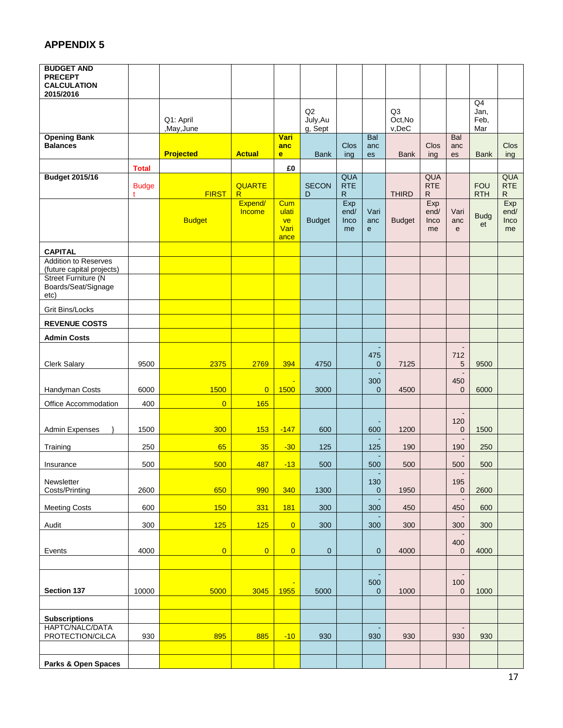## **APPENDIX 5**

| Q <sub>4</sub><br>Q2<br>Q <sub>3</sub><br>Jan,<br>July, Au<br>Oct, No<br>Q1: April<br>Feb,<br>$v,$ De $C$<br>g, Sept<br>Mar<br>,May,June<br><b>Opening Bank</b><br>Vari<br>Bal<br>Bal<br><b>Balances</b><br>Clos<br>Clos<br><b>Clos</b><br>anc<br>anc<br>anc<br><b>Projected</b><br><b>Bank</b><br><b>Actual</b><br><b>Bank</b><br><b>Bank</b><br>e<br>ing<br>ing<br>es<br>ing<br>es<br>£0<br><b>Total</b><br>QUA<br>QUA<br>QUA<br><b>Budget 2015/16</b><br><b>QUARTE</b><br><b>RTE</b><br><b>FOU</b><br><b>RTE</b><br><b>SECON</b><br><b>RTE</b><br><b>Budge</b><br><b>RTH</b><br><b>FIRST</b><br><b>THIRD</b><br>$\mathsf{R}$<br>D<br>$\mathsf{R}$<br>R<br>R.<br>t<br>Expend/<br>Exp<br>Exp<br>Exp<br>Cum<br>Income<br>ulati<br>end/<br>Vari<br>end/<br>Vari<br>end/<br><b>Budg</b><br><b>Budget</b><br>ve<br><b>Budget</b><br>Inco<br><b>Budget</b><br>Inco<br>anc<br><b>Inco</b><br>anc<br>et<br>Vari<br>me<br>$\mathbf{e}$<br>me<br>$\mathbf{e}$<br>me<br>ance<br><b>CAPITAL</b><br><b>Addition to Reserves</b><br>(future capital projects)<br><b>Street Furniture (N</b><br>Boards/Seat/Signage<br>etc)<br>Grit Bins/Locks<br><b>REVENUE COSTS</b><br><b>Admin Costs</b><br>$\blacksquare$<br>475<br>712<br>2375<br>2769<br>Clerk Salary<br>9500<br>394<br>7125<br>5<br>9500<br>4750<br>$\overline{0}$<br>$\blacksquare$<br>300<br>450<br>Handyman Costs<br>6000<br>1500<br>1500<br>$\overline{0}$<br>3000<br>$\overline{0}$<br>4500<br>0<br>6000<br>165<br>Office Accommodation<br>400<br>$\overline{0}$<br>$\blacksquare$<br>120<br>1500<br>300<br>153<br>1200<br>$\mathbf 0$<br><b>Admin Expenses</b><br>$-147$<br>600<br>600<br>1500<br>$\blacksquare$<br>35<br>125<br>190<br>250<br>65<br>$-30$<br>125<br>190<br>250<br>Training<br>$\blacksquare$<br>500<br>500<br>487<br>$-13$<br>500<br>500<br>500<br>500<br>500<br>Insurance<br>Newsletter<br>130<br>195<br>650<br>990<br>$\pmb{0}$<br>Costs/Printing<br>2600<br>340<br>1300<br>$\mathbf 0$<br>1950<br>2600<br>$\blacksquare$<br>150<br>450<br>600<br>331<br><b>181</b><br>300<br>300<br>450<br>600<br><b>Meeting Costs</b><br>$\blacksquare$<br>125<br>125<br>$\overline{0}$<br>Audit<br>300<br>300<br>300<br>300<br>300<br>300<br>400<br>4000<br>$\mathbf 0$<br>$\overline{0}$<br>$\mathbf 0$<br>4000<br>$\overline{0}$<br>$\boldsymbol{0}$<br>$\mathbf 0$<br>4000<br>Events<br>500<br>100<br>Section 137<br>10000<br>5000<br>3045<br>1000<br>$\mathbf 0$<br>1955<br>5000<br>$\mathbf 0$<br>1000<br><b>Subscriptions</b><br>HAPTC/NALC/DATA<br>$\blacksquare$<br>$\bar{a}$<br>885<br>PROTECTION/CILCA<br>930<br>895<br>$-10$<br>930<br>930<br>930<br>930<br>930<br><b>Parks &amp; Open Spaces</b> | <b>BUDGET AND</b><br><b>PRECEPT</b><br><b>CALCULATION</b><br>2015/2016 |  |  |  |  |  |  |
|---------------------------------------------------------------------------------------------------------------------------------------------------------------------------------------------------------------------------------------------------------------------------------------------------------------------------------------------------------------------------------------------------------------------------------------------------------------------------------------------------------------------------------------------------------------------------------------------------------------------------------------------------------------------------------------------------------------------------------------------------------------------------------------------------------------------------------------------------------------------------------------------------------------------------------------------------------------------------------------------------------------------------------------------------------------------------------------------------------------------------------------------------------------------------------------------------------------------------------------------------------------------------------------------------------------------------------------------------------------------------------------------------------------------------------------------------------------------------------------------------------------------------------------------------------------------------------------------------------------------------------------------------------------------------------------------------------------------------------------------------------------------------------------------------------------------------------------------------------------------------------------------------------------------------------------------------------------------------------------------------------------------------------------------------------------------------------------------------------------------------------------------------------------------------------------------------------------------------------------------------------------------------------------------------------------------------------------------------------------------------------------------------------------------------------------------------------------------------------------------------------------------------------------------------------------------------------------------------------------------------------------------------------------------|------------------------------------------------------------------------|--|--|--|--|--|--|
|                                                                                                                                                                                                                                                                                                                                                                                                                                                                                                                                                                                                                                                                                                                                                                                                                                                                                                                                                                                                                                                                                                                                                                                                                                                                                                                                                                                                                                                                                                                                                                                                                                                                                                                                                                                                                                                                                                                                                                                                                                                                                                                                                                                                                                                                                                                                                                                                                                                                                                                                                                                                                                                                     |                                                                        |  |  |  |  |  |  |
|                                                                                                                                                                                                                                                                                                                                                                                                                                                                                                                                                                                                                                                                                                                                                                                                                                                                                                                                                                                                                                                                                                                                                                                                                                                                                                                                                                                                                                                                                                                                                                                                                                                                                                                                                                                                                                                                                                                                                                                                                                                                                                                                                                                                                                                                                                                                                                                                                                                                                                                                                                                                                                                                     |                                                                        |  |  |  |  |  |  |
|                                                                                                                                                                                                                                                                                                                                                                                                                                                                                                                                                                                                                                                                                                                                                                                                                                                                                                                                                                                                                                                                                                                                                                                                                                                                                                                                                                                                                                                                                                                                                                                                                                                                                                                                                                                                                                                                                                                                                                                                                                                                                                                                                                                                                                                                                                                                                                                                                                                                                                                                                                                                                                                                     |                                                                        |  |  |  |  |  |  |
|                                                                                                                                                                                                                                                                                                                                                                                                                                                                                                                                                                                                                                                                                                                                                                                                                                                                                                                                                                                                                                                                                                                                                                                                                                                                                                                                                                                                                                                                                                                                                                                                                                                                                                                                                                                                                                                                                                                                                                                                                                                                                                                                                                                                                                                                                                                                                                                                                                                                                                                                                                                                                                                                     |                                                                        |  |  |  |  |  |  |
|                                                                                                                                                                                                                                                                                                                                                                                                                                                                                                                                                                                                                                                                                                                                                                                                                                                                                                                                                                                                                                                                                                                                                                                                                                                                                                                                                                                                                                                                                                                                                                                                                                                                                                                                                                                                                                                                                                                                                                                                                                                                                                                                                                                                                                                                                                                                                                                                                                                                                                                                                                                                                                                                     |                                                                        |  |  |  |  |  |  |
|                                                                                                                                                                                                                                                                                                                                                                                                                                                                                                                                                                                                                                                                                                                                                                                                                                                                                                                                                                                                                                                                                                                                                                                                                                                                                                                                                                                                                                                                                                                                                                                                                                                                                                                                                                                                                                                                                                                                                                                                                                                                                                                                                                                                                                                                                                                                                                                                                                                                                                                                                                                                                                                                     |                                                                        |  |  |  |  |  |  |
|                                                                                                                                                                                                                                                                                                                                                                                                                                                                                                                                                                                                                                                                                                                                                                                                                                                                                                                                                                                                                                                                                                                                                                                                                                                                                                                                                                                                                                                                                                                                                                                                                                                                                                                                                                                                                                                                                                                                                                                                                                                                                                                                                                                                                                                                                                                                                                                                                                                                                                                                                                                                                                                                     |                                                                        |  |  |  |  |  |  |
|                                                                                                                                                                                                                                                                                                                                                                                                                                                                                                                                                                                                                                                                                                                                                                                                                                                                                                                                                                                                                                                                                                                                                                                                                                                                                                                                                                                                                                                                                                                                                                                                                                                                                                                                                                                                                                                                                                                                                                                                                                                                                                                                                                                                                                                                                                                                                                                                                                                                                                                                                                                                                                                                     |                                                                        |  |  |  |  |  |  |
|                                                                                                                                                                                                                                                                                                                                                                                                                                                                                                                                                                                                                                                                                                                                                                                                                                                                                                                                                                                                                                                                                                                                                                                                                                                                                                                                                                                                                                                                                                                                                                                                                                                                                                                                                                                                                                                                                                                                                                                                                                                                                                                                                                                                                                                                                                                                                                                                                                                                                                                                                                                                                                                                     |                                                                        |  |  |  |  |  |  |
|                                                                                                                                                                                                                                                                                                                                                                                                                                                                                                                                                                                                                                                                                                                                                                                                                                                                                                                                                                                                                                                                                                                                                                                                                                                                                                                                                                                                                                                                                                                                                                                                                                                                                                                                                                                                                                                                                                                                                                                                                                                                                                                                                                                                                                                                                                                                                                                                                                                                                                                                                                                                                                                                     |                                                                        |  |  |  |  |  |  |
|                                                                                                                                                                                                                                                                                                                                                                                                                                                                                                                                                                                                                                                                                                                                                                                                                                                                                                                                                                                                                                                                                                                                                                                                                                                                                                                                                                                                                                                                                                                                                                                                                                                                                                                                                                                                                                                                                                                                                                                                                                                                                                                                                                                                                                                                                                                                                                                                                                                                                                                                                                                                                                                                     |                                                                        |  |  |  |  |  |  |
|                                                                                                                                                                                                                                                                                                                                                                                                                                                                                                                                                                                                                                                                                                                                                                                                                                                                                                                                                                                                                                                                                                                                                                                                                                                                                                                                                                                                                                                                                                                                                                                                                                                                                                                                                                                                                                                                                                                                                                                                                                                                                                                                                                                                                                                                                                                                                                                                                                                                                                                                                                                                                                                                     |                                                                        |  |  |  |  |  |  |
|                                                                                                                                                                                                                                                                                                                                                                                                                                                                                                                                                                                                                                                                                                                                                                                                                                                                                                                                                                                                                                                                                                                                                                                                                                                                                                                                                                                                                                                                                                                                                                                                                                                                                                                                                                                                                                                                                                                                                                                                                                                                                                                                                                                                                                                                                                                                                                                                                                                                                                                                                                                                                                                                     |                                                                        |  |  |  |  |  |  |
|                                                                                                                                                                                                                                                                                                                                                                                                                                                                                                                                                                                                                                                                                                                                                                                                                                                                                                                                                                                                                                                                                                                                                                                                                                                                                                                                                                                                                                                                                                                                                                                                                                                                                                                                                                                                                                                                                                                                                                                                                                                                                                                                                                                                                                                                                                                                                                                                                                                                                                                                                                                                                                                                     |                                                                        |  |  |  |  |  |  |
|                                                                                                                                                                                                                                                                                                                                                                                                                                                                                                                                                                                                                                                                                                                                                                                                                                                                                                                                                                                                                                                                                                                                                                                                                                                                                                                                                                                                                                                                                                                                                                                                                                                                                                                                                                                                                                                                                                                                                                                                                                                                                                                                                                                                                                                                                                                                                                                                                                                                                                                                                                                                                                                                     |                                                                        |  |  |  |  |  |  |
|                                                                                                                                                                                                                                                                                                                                                                                                                                                                                                                                                                                                                                                                                                                                                                                                                                                                                                                                                                                                                                                                                                                                                                                                                                                                                                                                                                                                                                                                                                                                                                                                                                                                                                                                                                                                                                                                                                                                                                                                                                                                                                                                                                                                                                                                                                                                                                                                                                                                                                                                                                                                                                                                     |                                                                        |  |  |  |  |  |  |
|                                                                                                                                                                                                                                                                                                                                                                                                                                                                                                                                                                                                                                                                                                                                                                                                                                                                                                                                                                                                                                                                                                                                                                                                                                                                                                                                                                                                                                                                                                                                                                                                                                                                                                                                                                                                                                                                                                                                                                                                                                                                                                                                                                                                                                                                                                                                                                                                                                                                                                                                                                                                                                                                     |                                                                        |  |  |  |  |  |  |
|                                                                                                                                                                                                                                                                                                                                                                                                                                                                                                                                                                                                                                                                                                                                                                                                                                                                                                                                                                                                                                                                                                                                                                                                                                                                                                                                                                                                                                                                                                                                                                                                                                                                                                                                                                                                                                                                                                                                                                                                                                                                                                                                                                                                                                                                                                                                                                                                                                                                                                                                                                                                                                                                     |                                                                        |  |  |  |  |  |  |
|                                                                                                                                                                                                                                                                                                                                                                                                                                                                                                                                                                                                                                                                                                                                                                                                                                                                                                                                                                                                                                                                                                                                                                                                                                                                                                                                                                                                                                                                                                                                                                                                                                                                                                                                                                                                                                                                                                                                                                                                                                                                                                                                                                                                                                                                                                                                                                                                                                                                                                                                                                                                                                                                     |                                                                        |  |  |  |  |  |  |
|                                                                                                                                                                                                                                                                                                                                                                                                                                                                                                                                                                                                                                                                                                                                                                                                                                                                                                                                                                                                                                                                                                                                                                                                                                                                                                                                                                                                                                                                                                                                                                                                                                                                                                                                                                                                                                                                                                                                                                                                                                                                                                                                                                                                                                                                                                                                                                                                                                                                                                                                                                                                                                                                     |                                                                        |  |  |  |  |  |  |
|                                                                                                                                                                                                                                                                                                                                                                                                                                                                                                                                                                                                                                                                                                                                                                                                                                                                                                                                                                                                                                                                                                                                                                                                                                                                                                                                                                                                                                                                                                                                                                                                                                                                                                                                                                                                                                                                                                                                                                                                                                                                                                                                                                                                                                                                                                                                                                                                                                                                                                                                                                                                                                                                     |                                                                        |  |  |  |  |  |  |
|                                                                                                                                                                                                                                                                                                                                                                                                                                                                                                                                                                                                                                                                                                                                                                                                                                                                                                                                                                                                                                                                                                                                                                                                                                                                                                                                                                                                                                                                                                                                                                                                                                                                                                                                                                                                                                                                                                                                                                                                                                                                                                                                                                                                                                                                                                                                                                                                                                                                                                                                                                                                                                                                     |                                                                        |  |  |  |  |  |  |
|                                                                                                                                                                                                                                                                                                                                                                                                                                                                                                                                                                                                                                                                                                                                                                                                                                                                                                                                                                                                                                                                                                                                                                                                                                                                                                                                                                                                                                                                                                                                                                                                                                                                                                                                                                                                                                                                                                                                                                                                                                                                                                                                                                                                                                                                                                                                                                                                                                                                                                                                                                                                                                                                     |                                                                        |  |  |  |  |  |  |
|                                                                                                                                                                                                                                                                                                                                                                                                                                                                                                                                                                                                                                                                                                                                                                                                                                                                                                                                                                                                                                                                                                                                                                                                                                                                                                                                                                                                                                                                                                                                                                                                                                                                                                                                                                                                                                                                                                                                                                                                                                                                                                                                                                                                                                                                                                                                                                                                                                                                                                                                                                                                                                                                     |                                                                        |  |  |  |  |  |  |
|                                                                                                                                                                                                                                                                                                                                                                                                                                                                                                                                                                                                                                                                                                                                                                                                                                                                                                                                                                                                                                                                                                                                                                                                                                                                                                                                                                                                                                                                                                                                                                                                                                                                                                                                                                                                                                                                                                                                                                                                                                                                                                                                                                                                                                                                                                                                                                                                                                                                                                                                                                                                                                                                     |                                                                        |  |  |  |  |  |  |
|                                                                                                                                                                                                                                                                                                                                                                                                                                                                                                                                                                                                                                                                                                                                                                                                                                                                                                                                                                                                                                                                                                                                                                                                                                                                                                                                                                                                                                                                                                                                                                                                                                                                                                                                                                                                                                                                                                                                                                                                                                                                                                                                                                                                                                                                                                                                                                                                                                                                                                                                                                                                                                                                     |                                                                        |  |  |  |  |  |  |
|                                                                                                                                                                                                                                                                                                                                                                                                                                                                                                                                                                                                                                                                                                                                                                                                                                                                                                                                                                                                                                                                                                                                                                                                                                                                                                                                                                                                                                                                                                                                                                                                                                                                                                                                                                                                                                                                                                                                                                                                                                                                                                                                                                                                                                                                                                                                                                                                                                                                                                                                                                                                                                                                     |                                                                        |  |  |  |  |  |  |
|                                                                                                                                                                                                                                                                                                                                                                                                                                                                                                                                                                                                                                                                                                                                                                                                                                                                                                                                                                                                                                                                                                                                                                                                                                                                                                                                                                                                                                                                                                                                                                                                                                                                                                                                                                                                                                                                                                                                                                                                                                                                                                                                                                                                                                                                                                                                                                                                                                                                                                                                                                                                                                                                     |                                                                        |  |  |  |  |  |  |